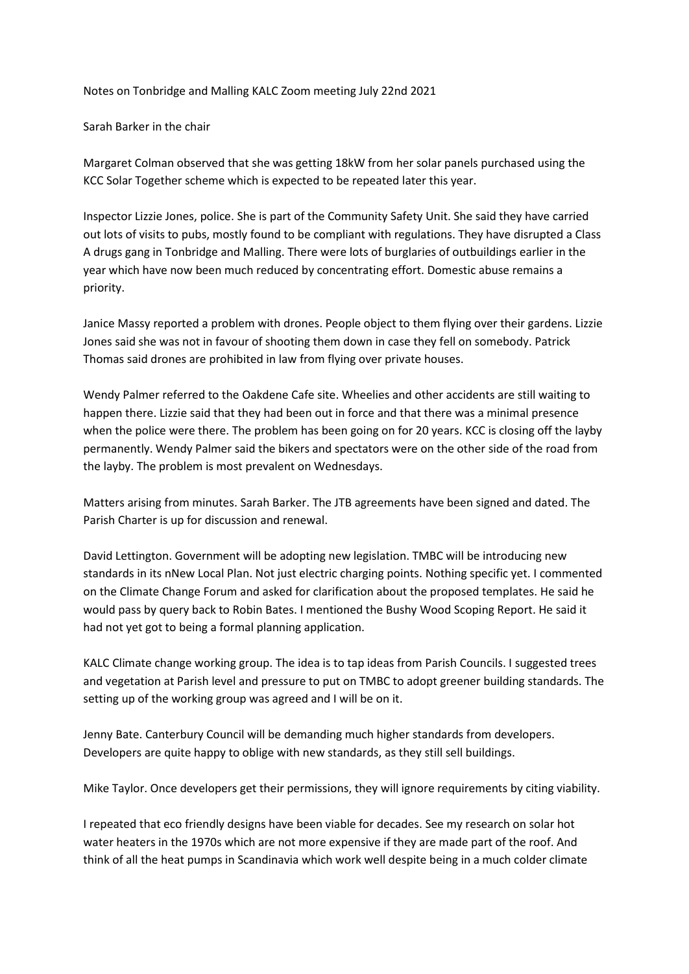## Notes on Tonbridge and Malling KALC Zoom meeting July 22nd 2021

## Sarah Barker in the chair

Margaret Colman observed that she was getting 18kW from her solar panels purchased using the KCC Solar Together scheme which is expected to be repeated later this year.

Inspector Lizzie Jones, police. She is part of the Community Safety Unit. She said they have carried out lots of visits to pubs, mostly found to be compliant with regulations. They have disrupted a Class A drugs gang in Tonbridge and Malling. There were lots of burglaries of outbuildings earlier in the year which have now been much reduced by concentrating effort. Domestic abuse remains a priority.

Janice Massy reported a problem with drones. People object to them flying over their gardens. Lizzie Jones said she was not in favour of shooting them down in case they fell on somebody. Patrick Thomas said drones are prohibited in law from flying over private houses.

Wendy Palmer referred to the Oakdene Cafe site. Wheelies and other accidents are still waiting to happen there. Lizzie said that they had been out in force and that there was a minimal presence when the police were there. The problem has been going on for 20 years. KCC is closing off the layby permanently. Wendy Palmer said the bikers and spectators were on the other side of the road from the layby. The problem is most prevalent on Wednesdays.

Matters arising from minutes. Sarah Barker. The JTB agreements have been signed and dated. The Parish Charter is up for discussion and renewal.

David Lettington. Government will be adopting new legislation. TMBC will be introducing new standards in its nNew Local Plan. Not just electric charging points. Nothing specific yet. I commented on the Climate Change Forum and asked for clarification about the proposed templates. He said he would pass by query back to Robin Bates. I mentioned the Bushy Wood Scoping Report. He said it had not yet got to being a formal planning application.

KALC Climate change working group. The idea is to tap ideas from Parish Councils. I suggested trees and vegetation at Parish level and pressure to put on TMBC to adopt greener building standards. The setting up of the working group was agreed and I will be on it.

Jenny Bate. Canterbury Council will be demanding much higher standards from developers. Developers are quite happy to oblige with new standards, as they still sell buildings.

Mike Taylor. Once developers get their permissions, they will ignore requirements by citing viability.

I repeated that eco friendly designs have been viable for decades. See my research on solar hot water heaters in the 1970s which are not more expensive if they are made part of the roof. And think of all the heat pumps in Scandinavia which work well despite being in a much colder climate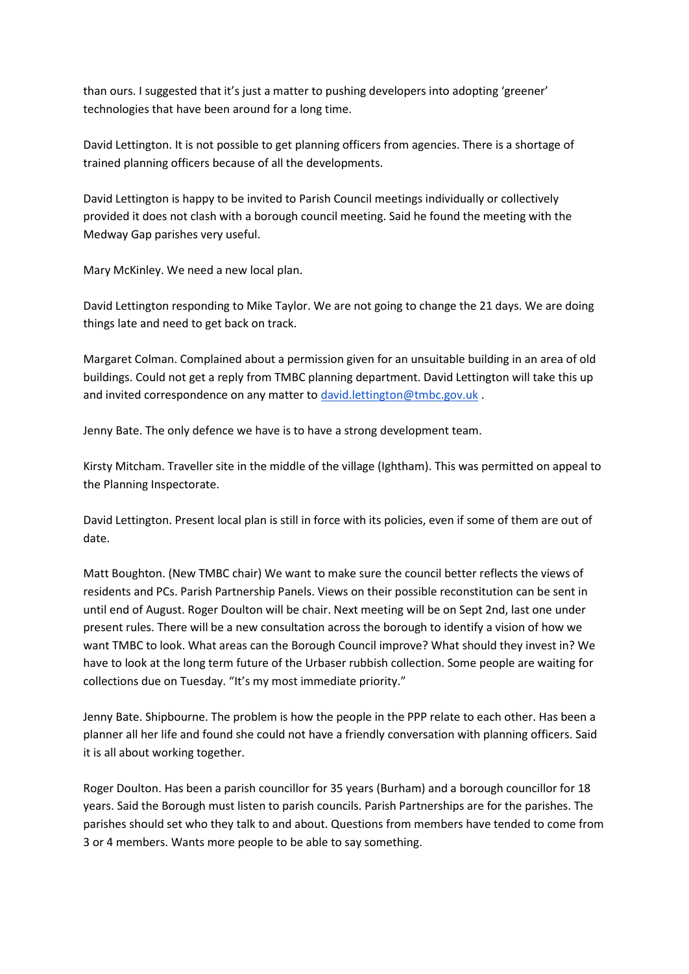than ours. I suggested that it's just a matter to pushing developers into adopting 'greener' technologies that have been around for a long time.

David Lettington. It is not possible to get planning officers from agencies. There is a shortage of trained planning officers because of all the developments.

David Lettington is happy to be invited to Parish Council meetings individually or collectively provided it does not clash with a borough council meeting. Said he found the meeting with the Medway Gap parishes very useful.

Mary McKinley. We need a new local plan.

David Lettington responding to Mike Taylor. We are not going to change the 21 days. We are doing things late and need to get back on track.

Margaret Colman. Complained about a permission given for an unsuitable building in an area of old buildings. Could not get a reply from TMBC planning department. David Lettington will take this up and invited correspondence on any matter to [david.lettington@tmbc.gov.uk](mailto:david.lettington@tmbc.gov.uk).

Jenny Bate. The only defence we have is to have a strong development team.

Kirsty Mitcham. Traveller site in the middle of the village (Ightham). This was permitted on appeal to the Planning Inspectorate.

David Lettington. Present local plan is still in force with its policies, even if some of them are out of date.

Matt Boughton. (New TMBC chair) We want to make sure the council better reflects the views of residents and PCs. Parish Partnership Panels. Views on their possible reconstitution can be sent in until end of August. Roger Doulton will be chair. Next meeting will be on Sept 2nd, last one under present rules. There will be a new consultation across the borough to identify a vision of how we want TMBC to look. What areas can the Borough Council improve? What should they invest in? We have to look at the long term future of the Urbaser rubbish collection. Some people are waiting for collections due on Tuesday. "It's my most immediate priority."

Jenny Bate. Shipbourne. The problem is how the people in the PPP relate to each other. Has been a planner all her life and found she could not have a friendly conversation with planning officers. Said it is all about working together.

Roger Doulton. Has been a parish councillor for 35 years (Burham) and a borough councillor for 18 years. Said the Borough must listen to parish councils. Parish Partnerships are for the parishes. The parishes should set who they talk to and about. Questions from members have tended to come from 3 or 4 members. Wants more people to be able to say something.